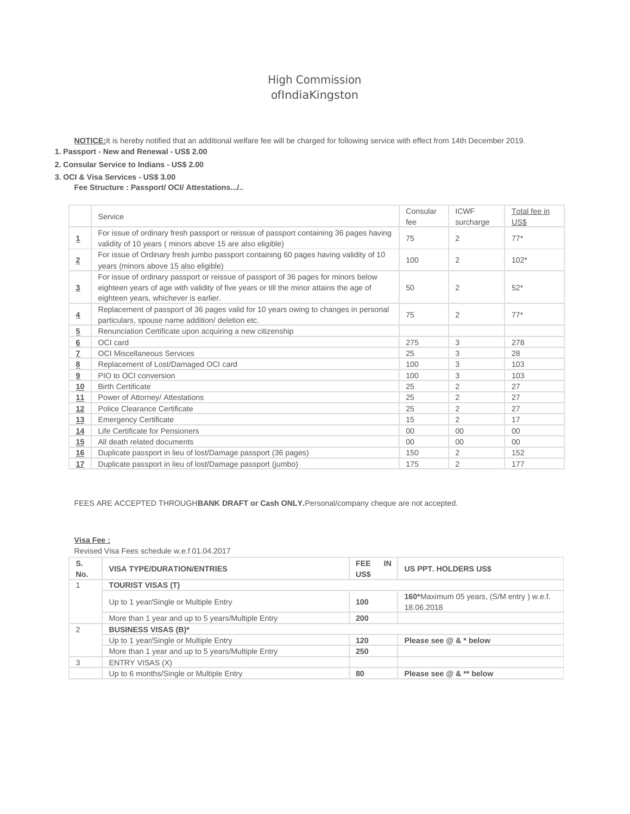# High Commission ofIndiaKingston

**NOTICE:**It is hereby notified that an additional welfare fee will be charged for following service with effect from 14th December 2019. **1. Passport - New and Renewal - US\$ 2.00**

# **2. Consular Service to Indians - US\$ 2.00**

#### **3. OCI & Visa Services - US\$ 3.00**

**Fee Structure : Passport/ OCI/ Attestations.../..**

|                         | Service                                                                                                                                                                                                               | Consular<br>fee | <b>ICWF</b><br>surcharge | Total fee in<br>US\$ |
|-------------------------|-----------------------------------------------------------------------------------------------------------------------------------------------------------------------------------------------------------------------|-----------------|--------------------------|----------------------|
| $\overline{\mathbf{1}}$ | For issue of ordinary fresh passport or reissue of passport containing 36 pages having<br>validity of 10 years (minors above 15 are also eligible)                                                                    | 75              | $\overline{2}$           | $77*$                |
| $\overline{2}$          | For issue of Ordinary fresh jumbo passport containing 60 pages having validity of 10<br>years (minors above 15 also eligible)                                                                                         | 100             | $\overline{2}$           | $102*$               |
| 3                       | For issue of ordinary passport or reissue of passport of 36 pages for minors below<br>eighteen years of age with validity of five years or till the minor attains the age of<br>eighteen years, whichever is earlier. | 50              | 2                        | $52*$                |
| $\overline{4}$          | Replacement of passport of 36 pages valid for 10 years owing to changes in personal<br>particulars, spouse name addition/ deletion etc.                                                                               | 75              | $\overline{2}$           | $77*$                |
| 5                       | Renunciation Certificate upon acquiring a new citizenship                                                                                                                                                             |                 |                          |                      |
| 6                       | OCI card                                                                                                                                                                                                              | 275             | 3                        | 278                  |
| Z                       | <b>OCI Miscellaneous Services</b>                                                                                                                                                                                     | 25              | 3                        | 28                   |
| 8                       | Replacement of Lost/Damaged OCI card                                                                                                                                                                                  |                 | 3                        | 103                  |
| 9                       | PIO to OCI conversion                                                                                                                                                                                                 | 100             | 3                        | 103                  |
| 10                      | <b>Birth Certificate</b>                                                                                                                                                                                              | 25              | 2                        | 27                   |
| 11                      | Power of Attorney/ Attestations                                                                                                                                                                                       | 25              | 2                        | 27                   |
| 12                      | Police Clearance Certificate                                                                                                                                                                                          | 25              | 2                        | 27                   |
| 13                      | <b>Emergency Certificate</b>                                                                                                                                                                                          | 15              | 2                        | 17                   |
| 14                      | Life Certificate for Pensioners                                                                                                                                                                                       | $00 \,$         | 00                       | $00\,$               |
| 15                      | All death related documents                                                                                                                                                                                           | $00 \,$         | 00                       | $00\,$               |
| 16                      | Duplicate passport in lieu of lost/Damage passport (36 pages)                                                                                                                                                         | 150             | $\overline{2}$           | 152                  |
| 17                      | Duplicate passport in lieu of lost/Damage passport (jumbo)                                                                                                                                                            | 175             | $\overline{2}$           | 177                  |

FEES ARE ACCEPTED THROUGH**BANK DRAFT or Cash ONLY.**Personal/company cheque are not accepted.

#### **Visa Fee :**

Revised Visa Fees schedule w.e.f 01.04.2017

| S.<br>No. | <b>VISA TYPE/DURATION/ENTRIES</b>                 | <b>FEE</b><br>IN<br>US\$ | <b>US PPT. HOLDERS US\$</b>                            |
|-----------|---------------------------------------------------|--------------------------|--------------------------------------------------------|
|           | <b>TOURIST VISAS (T)</b>                          |                          |                                                        |
|           | Up to 1 year/Single or Multiple Entry             | 100                      | 160*Maximum 05 years, (S/M entry) w.e.f.<br>18.06.2018 |
|           | More than 1 year and up to 5 years/Multiple Entry | 200                      |                                                        |
|           | <b>BUSINESS VISAS (B)*</b>                        |                          |                                                        |
|           | Up to 1 year/Single or Multiple Entry             | 120                      | Please see $@&*$ below                                 |
|           | More than 1 year and up to 5 years/Multiple Entry | 250                      |                                                        |
| 3         | ENTRY VISAS (X)                                   |                          |                                                        |
|           | Up to 6 months/Single or Multiple Entry           | 80                       | Please see $@&$ ** below                               |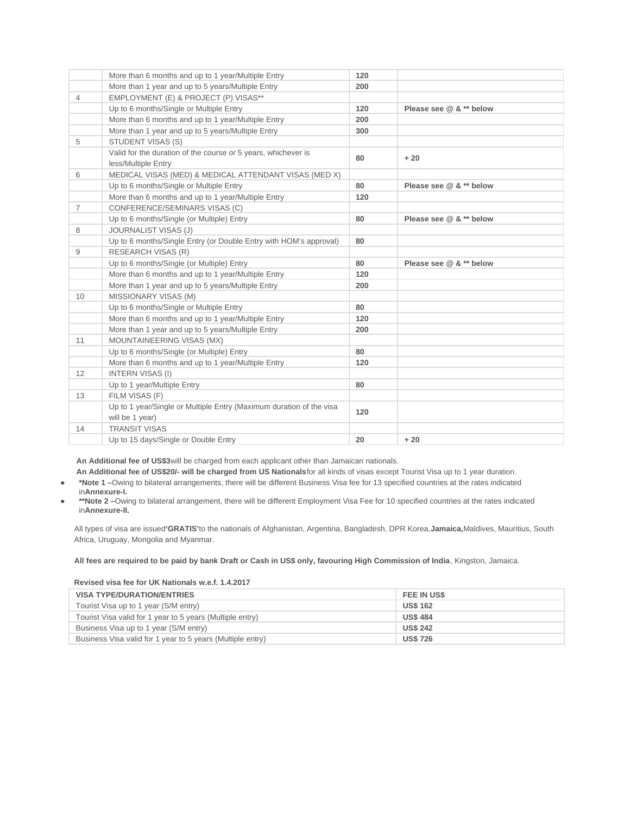|                | More than 6 months and up to 1 year/Multiple Entry                  | 120 |                         |
|----------------|---------------------------------------------------------------------|-----|-------------------------|
|                | More than 1 year and up to 5 years/Multiple Entry                   | 200 |                         |
| 4              | EMPLOYMENT (E) & PROJECT (P) VISAS**                                |     |                         |
|                | Up to 6 months/Single or Multiple Entry                             | 120 | Please see @ & ** below |
|                | More than 6 months and up to 1 year/Multiple Entry                  | 200 |                         |
|                | More than 1 year and up to 5 years/Multiple Entry                   | 300 |                         |
| 5              | STUDENT VISAS (S)                                                   |     |                         |
|                | Valid for the duration of the course or 5 years, whichever is       | 80  | $+20$                   |
|                | less/Multiple Entry                                                 |     |                         |
| 6              | MEDICAL VISAS (MED) & MEDICAL ATTENDANT VISAS (MED X)               |     |                         |
|                | Up to 6 months/Single or Multiple Entry                             | 80  | Please see $@&**$ below |
|                | More than 6 months and up to 1 year/Multiple Entry                  | 120 |                         |
| $\overline{7}$ | CONFERENCE/SEMINARS VISAS (C)                                       |     |                         |
|                | Up to 6 months/Single (or Multiple) Entry                           | 80  | Please see $@&**$ below |
| 8              | <b>JOURNALIST VISAS (J)</b>                                         |     |                         |
|                | Up to 6 months/Single Entry (or Double Entry with HOM's approval)   | 80  |                         |
| 9              | RESEARCH VISAS (R)                                                  |     |                         |
|                | Up to 6 months/Single (or Multiple) Entry                           | 80  | Please see @ & ** below |
|                | More than 6 months and up to 1 year/Multiple Entry                  | 120 |                         |
|                | More than 1 year and up to 5 years/Multiple Entry                   | 200 |                         |
| 10             | MISSIONARY VISAS (M)                                                |     |                         |
|                | Up to 6 months/Single or Multiple Entry                             | 80  |                         |
|                | More than 6 months and up to 1 year/Multiple Entry                  | 120 |                         |
|                | More than 1 year and up to 5 years/Multiple Entry                   | 200 |                         |
| 11             | MOUNTAINEERING VISAS (MX)                                           |     |                         |
|                | Up to 6 months/Single (or Multiple) Entry                           | 80  |                         |
|                | More than 6 months and up to 1 year/Multiple Entry                  | 120 |                         |
| 12             | <b>INTERN VISAS (I)</b>                                             |     |                         |
|                | Up to 1 year/Multiple Entry                                         | 80  |                         |
| 13             | FILM VISAS (F)                                                      |     |                         |
|                | Up to 1 year/Single or Multiple Entry (Maximum duration of the visa | 120 |                         |
|                | will be 1 year)                                                     |     |                         |
| 14             | <b>TRANSIT VISAS</b>                                                |     |                         |
|                | Up to 15 days/Single or Double Entry                                | 20  | $+20$                   |

**An Additional fee of US\$3**will be charged from each applicant other than Jamaican nationals.

- **An Additional fee of US\$20/- will be charged from US Nationals**for all kinds of visas except Tourist Visa up to 1 year duration. **● \*Note 1 –**Owing to bilateral arrangements, there will be different Business Visa fee for 13 specified countries at the rates indicated
- in**Annexure-I.**
- **● \*\*Note 2 –**Owing to bilateral arrangement, there will be different Employment Visa Fee for 10 specified countries at the rates indicated in**Annexure-II.**

All types of visa are issued**'GRATIS'**to the nationals of Afghanistan, Argentina, Bangladesh, DPR Korea,**Jamaica,**Maldives, Mauritius, South Africa, Uruguay, Mongolia and Myanmar.

**All fees are required to be paid by bank Draft or Cash in US\$ only, favouring High Commission of India**, Kingston, Jamaica.

#### **Revised visa fee for UK Nationals w.e.f. 1.4.2017**

| <b>VISA TYPE/DURATION/ENTRIES</b>                          | <b>FEE IN USS</b> |
|------------------------------------------------------------|-------------------|
| Tourist Visa up to 1 year (S/M entry)                      | <b>US\$ 162</b>   |
| Tourist Visa valid for 1 year to 5 years (Multiple entry)  | <b>US\$484</b>    |
| Business Visa up to 1 year (S/M entry)                     | <b>US\$ 242</b>   |
| Business Visa valid for 1 year to 5 years (Multiple entry) | <b>US\$726</b>    |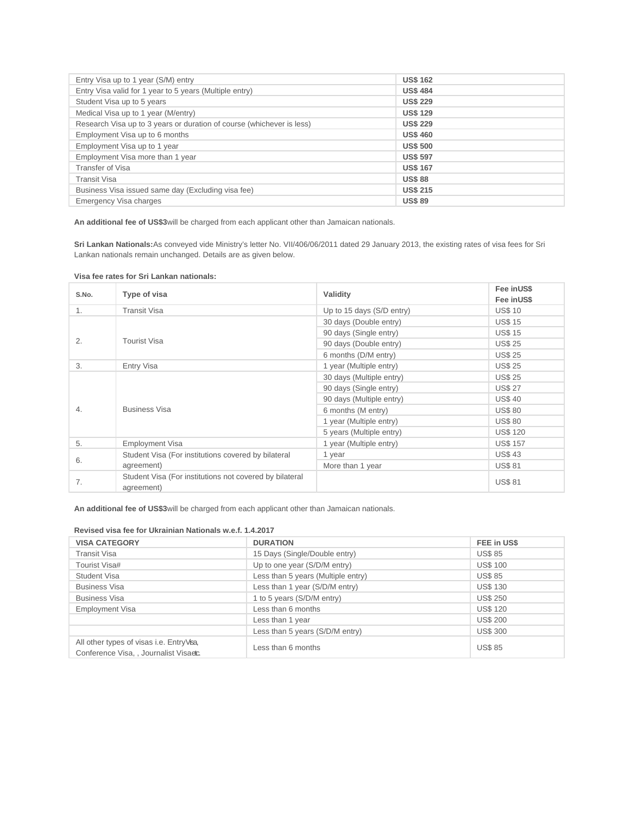| Entry Visa up to 1 year (S/M) entry                                   | <b>US\$ 162</b> |
|-----------------------------------------------------------------------|-----------------|
| Entry Visa valid for 1 year to 5 years (Multiple entry)               | <b>US\$484</b>  |
| Student Visa up to 5 years                                            | <b>US\$ 229</b> |
| Medical Visa up to 1 year (M/entry)                                   | <b>US\$ 129</b> |
| Research Visa up to 3 years or duration of course (whichever is less) | <b>US\$ 229</b> |
| Employment Visa up to 6 months                                        | <b>US\$460</b>  |
| Employment Visa up to 1 year                                          | <b>US\$500</b>  |
| Employment Visa more than 1 year                                      | <b>US\$ 597</b> |
| Transfer of Visa                                                      | <b>US\$ 167</b> |
| <b>Transit Visa</b>                                                   | <b>US\$88</b>   |
| Business Visa issued same day (Excluding visa fee)                    | <b>US\$ 215</b> |
| Emergency Visa charges                                                | <b>US\$89</b>   |

**An additional fee of US\$3**will be charged from each applicant other than Jamaican nationals.

**Sri Lankan Nationals:**As conveyed vide Ministry's letter No. VII/406/06/2011 dated 29 January 2013, the existing rates of visa fees for Sri Lankan nationals remain unchanged. Details are as given below.

| S.No.          | Type of visa                                                          | Validity                  | Fee inUS\$<br>Fee inUS\$ |
|----------------|-----------------------------------------------------------------------|---------------------------|--------------------------|
| 1.             | <b>Transit Visa</b>                                                   | Up to 15 days (S/D entry) | <b>US\$10</b>            |
|                |                                                                       | 30 days (Double entry)    | <b>US\$15</b>            |
|                |                                                                       | 90 days (Single entry)    | <b>US\$15</b>            |
| 2.             | <b>Tourist Visa</b>                                                   | 90 days (Double entry)    | <b>US\$25</b>            |
|                |                                                                       | 6 months (D/M entry)      | <b>US\$25</b>            |
| 3.             | Entry Visa                                                            | 1 year (Multiple entry)   | <b>US\$25</b>            |
|                | <b>Business Visa</b>                                                  | 30 days (Multiple entry)  | <b>US\$25</b>            |
|                |                                                                       | 90 days (Single entry)    | <b>US\$27</b>            |
|                |                                                                       | 90 days (Multiple entry)  | <b>US\$40</b>            |
| $\mathbf{4}$ . |                                                                       | 6 months (M entry)        | <b>US\$80</b>            |
|                |                                                                       | 1 year (Multiple entry)   | <b>US\$80</b>            |
|                |                                                                       | 5 years (Multiple entry)  | <b>US\$120</b>           |
| 5.             | <b>Employment Visa</b>                                                | 1 year (Multiple entry)   | <b>US\$ 157</b>          |
|                | Student Visa (For institutions covered by bilateral                   | 1 year                    | <b>US\$43</b>            |
| 6.             | agreement)                                                            | More than 1 year          | <b>US\$81</b>            |
| 7.             | Student Visa (For institutions not covered by bilateral<br>agreement) |                           | <b>US\$81</b>            |

**Visa fee rates for Sri Lankan nationals:**

**An additional fee of US\$3**will be charged from each applicant other than Jamaican nationals.

## **Revised visa fee for Ukrainian Nationals w.e.f. 1.4.2017**

| <b>VISA CATEGORY</b>                                                              | <b>DURATION</b>                    | FEE in US\$     |
|-----------------------------------------------------------------------------------|------------------------------------|-----------------|
| <b>Transit Visa</b>                                                               | 15 Days (Single/Double entry)      | <b>US\$85</b>   |
| Tourist Visa#                                                                     | Up to one year (S/D/M entry)       | <b>US\$100</b>  |
| Student Visa                                                                      | Less than 5 years (Multiple entry) | <b>US\$85</b>   |
| <b>Business Visa</b>                                                              | Less than 1 year (S/D/M entry)     | <b>US\$130</b>  |
| <b>Business Visa</b>                                                              | 1 to 5 years (S/D/M entry)         | <b>US\$ 250</b> |
| <b>Employment Visa</b>                                                            | Less than 6 months                 | <b>US\$120</b>  |
|                                                                                   | Less than 1 year                   | <b>US\$ 200</b> |
|                                                                                   | Less than 5 years (S/D/M entry)    | <b>US\$300</b>  |
| All other types of visas i.e. EntryVsa,<br>Conference Visa. . Journalist Visaetc. | Less than 6 months                 | <b>US\$85</b>   |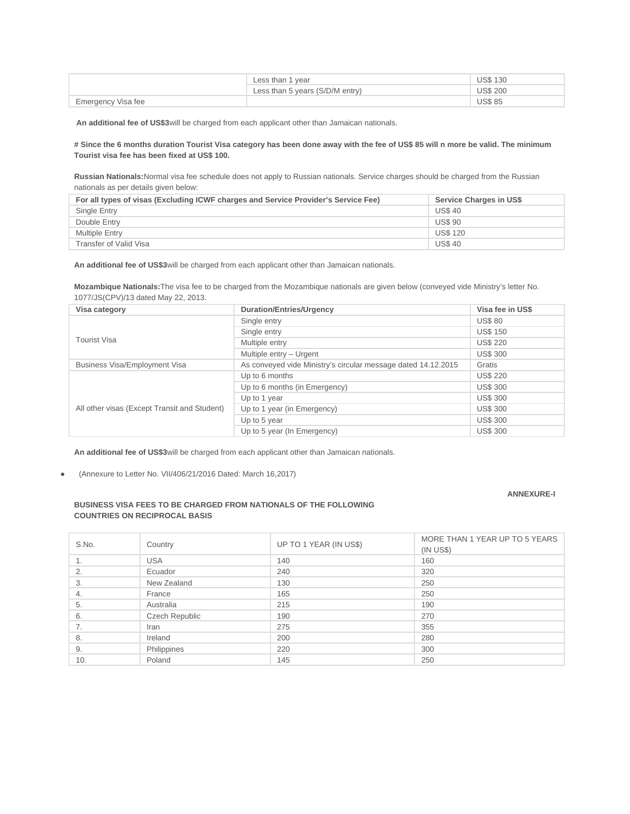|                    | Less than 1 year                | <b>US\$130</b>  |
|--------------------|---------------------------------|-----------------|
|                    | Less than 5 years (S/D/M entry) | <b>US\$ 200</b> |
| Emergency Visa fee |                                 | <b>US\$85</b>   |

**An additional fee of US\$3**will be charged from each applicant other than Jamaican nationals.

### **# Since the 6 months duration Tourist Visa category has been done away with the fee of US\$ 85 will n more be valid. The minimum Tourist visa fee has been fixed at US\$ 100.**

**Russian Nationals:**Normal visa fee schedule does not apply to Russian nationals. Service charges should be charged from the Russian nationals as per details given below:

| For all types of visas (Excluding ICWF charges and Service Provider's Service Fee) | Service Charges in US\$ |
|------------------------------------------------------------------------------------|-------------------------|
| Single Entry                                                                       | <b>US\$40</b>           |
| Double Entry                                                                       | <b>US\$90</b>           |
| <b>Multiple Entry</b>                                                              | <b>US\$120</b>          |
| Transfer of Valid Visa                                                             | <b>US\$40</b>           |

**An additional fee of US\$3**will be charged from each applicant other than Jamaican nationals.

**Mozambique Nationals:**The visa fee to be charged from the Mozambique nationals are given below (conveyed vide Ministry's letter No. 1077/JS(CPV)/13 dated May 22, 2013.

| Visa category                                | <b>Duration/Entries/Urgency</b>                               | Visa fee in US\$ |
|----------------------------------------------|---------------------------------------------------------------|------------------|
|                                              | Single entry                                                  | <b>US\$80</b>    |
|                                              | Single entry                                                  | <b>US\$150</b>   |
| <b>Tourist Visa</b>                          | Multiple entry                                                | <b>US\$ 220</b>  |
|                                              | Multiple entry - Urgent                                       | <b>US\$300</b>   |
| <b>Business Visa/Employment Visa</b>         | As conveyed vide Ministry's circular message dated 14.12.2015 | Gratis           |
|                                              | Up to 6 months                                                | <b>US\$ 220</b>  |
|                                              | Up to 6 months (in Emergency)                                 | <b>US\$300</b>   |
|                                              | Up to 1 year                                                  | <b>US\$300</b>   |
| All other visas (Except Transit and Student) | Up to 1 year (in Emergency)                                   | <b>US\$300</b>   |
|                                              | Up to 5 year                                                  | <b>US\$300</b>   |
|                                              | Up to 5 year (In Emergency)                                   | <b>US\$300</b>   |

**An additional fee of US\$3**will be charged from each applicant other than Jamaican nationals.

**●** (Annexure to Letter No. VII/406/21/2016 Dated: March 16,2017)

## **ANNEXURE-I**

### **BUSINESS VISA FEES TO BE CHARGED FROM NATIONALS OF THE FOLLOWING COUNTRIES ON RECIPROCAL BASIS**

| S.No. | Country        | UP TO 1 YEAR (IN US\$) | MORE THAN 1 YEAR UP TO 5 YEARS<br>$(IN \, US$)$ |
|-------|----------------|------------------------|-------------------------------------------------|
| 1.    | <b>USA</b>     | 140                    | 160                                             |
| 2.    | Ecuador        | 240                    | 320                                             |
| 3.    | New Zealand    | 130                    | 250                                             |
| 4.    | France         | 165                    | 250                                             |
| 5.    | Australia      | 215                    | 190                                             |
| 6.    | Czech Republic | 190                    | 270                                             |
| 7.    | Iran           | 275                    | 355                                             |
| 8.    | Ireland        | 200                    | 280                                             |
| 9.    | Philippines    | 220                    | 300                                             |
| 10.   | Poland         | 145                    | 250                                             |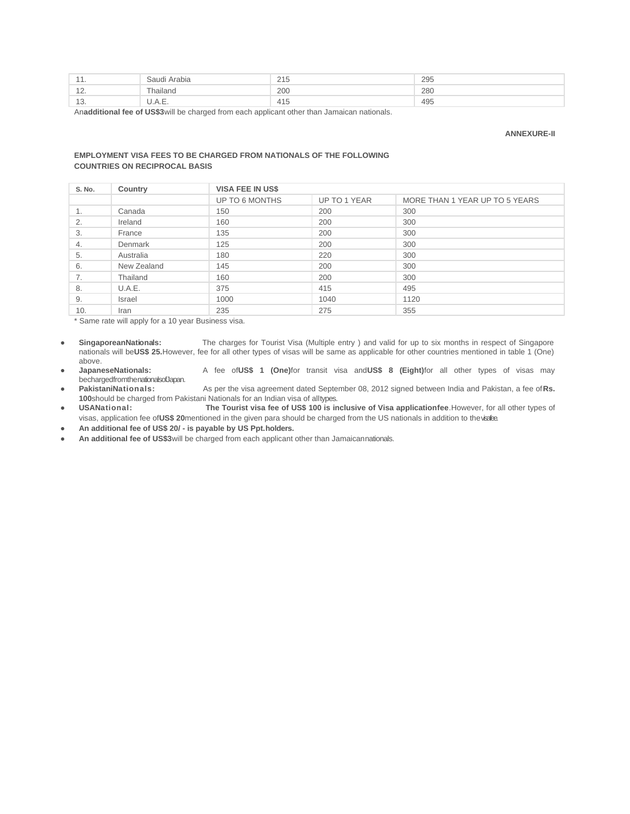| والمتراسين    | audi<br>Hidula             | 21E<br>415 | 295 |
|---------------|----------------------------|------------|-----|
| $\sim$        | -<br><sup>-</sup> hailand  | 200        | 280 |
| $\sim$<br>πu. | $\cup$ . $\cap$ . $\sqcup$ | 4 L.       | 495 |

An**additional fee of US\$3**will be charged from each applicant other than Jamaican nationals.

#### **ANNEXURE-II**

#### **EMPLOYMENT VISA FEES TO BE CHARGED FROM NATIONALS OF THE FOLLOWING COUNTRIES ON RECIPROCAL BASIS**

| S. No. | Country       | <b>VISA FEE IN US\$</b> |              |                                |
|--------|---------------|-------------------------|--------------|--------------------------------|
|        |               | UP TO 6 MONTHS          | UP TO 1 YEAR | MORE THAN 1 YEAR UP TO 5 YEARS |
| ⊥.     | Canada        | 150                     | 200          | 300                            |
| 2.     | Ireland       | 160                     | 200          | 300                            |
| 3.     | France        | 135                     | 200          | 300                            |
| 4.     | Denmark       | 125                     | 200          | 300                            |
| 5.     | Australia     | 180                     | 220          | 300                            |
| 6.     | New Zealand   | 145                     | 200          | 300                            |
| 7.     | Thailand      | 160                     | 200          | 300                            |
| 8.     | U.A.E.        | 375                     | 415          | 495                            |
| 9.     | <b>Israel</b> | 1000                    | 1040         | 1120                           |
| 10.    | Iran          | 235                     | 275          | 355                            |

\* Same rate will apply for a 10 year Business visa.

**● SingaporeanNationals:** The charges for Tourist Visa (Multiple entry ) and valid for up to six months in respect of Singapore nationals will be**US\$ 25.**However, fee for all other types of visas will be same as applicable for other countries mentioned in table 1 (One) above.

**● JapaneseNationals:** A fee of**US\$ 1 (One)**for transit visa and**US\$ 8 (Eight)**for all other types of visas may bechargedfromthenationalsofJapan.<br>PakistaniNationals:

**● PakistaniNationals:** As per the visa agreement dated September 08, 2012 signed between India and Pakistan, a fee of**Rs. 100**should be charged from Pakistani Nationals for an Indian visa of alltypes.<br> **USANational:** The Tourist visa fee of US\$ 100 is in

**● USANational: The Tourist visa fee of US\$ 100 is inclusive of Visa applicationfee**.However, for all other types of visas, application fee of**US\$ 20**mentioned in the given para should be charged from the US nationals in addition to thevisafee.

**● An additional fee of US\$ 20/ - is payable by US Ppt.holders.**

**● An additional fee of US\$3**will be charged from each applicant other than Jamaicannationals.